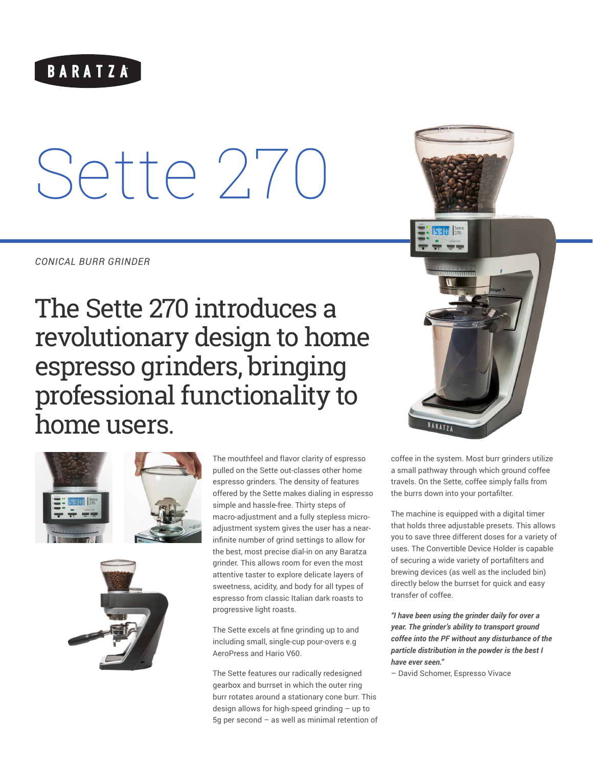# BARATZA

# Sette 270

*CONICAL BURR GRINDER*

The Sette 270 introduces a revolutionary design to home espresso grinders, bringing professional functionality to home users.





The mouthfeel and flavor clarity of espresso pulled on the Sette out-classes other home espresso grinders. The density of features offered by the Sette makes dialing in espresso simple and hassle-free. Thirty steps of macro-adjustment and a fully stepless microadjustment system gives the user has a nearinfinite number of grind settings to allow for the best, most precise dial-in on any Baratza grinder. This allows room for even the most attentive taster to explore delicate layers of sweetness, acidity, and body for all types of espresso from classic Italian dark roasts to progressive light roasts.

The Sette excels at fine grinding up to and including small, single-cup pour-overs e.g AeroPress and Hario V60.

The Sette features our radically redesigned gearbox and burrset in which the outer ring burr rotates around a stationary cone burr. This design allows for high-speed grinding – up to 5g per second – as well as minimal retention of



coffee in the system. Most burr grinders utilize a small pathway through which ground coffee travels. On the Sette, coffee simply falls from the burrs down into your portafilter.

The machine is equipped with a digital timer that holds three adjustable presets. This allows you to save three different doses for a variety of uses. The Convertible Device Holder is capable of securing a wide variety of portafilters and brewing devices (as well as the included bin) directly below the burrset for quick and easy transfer of coffee.

*"I have been using the grinder daily for over a year. The grinder's ability to transport ground coffee into the PF without any disturbance of the particle distribution in the powder is the best I have ever seen."*

– David Schomer, Espresso Vivace